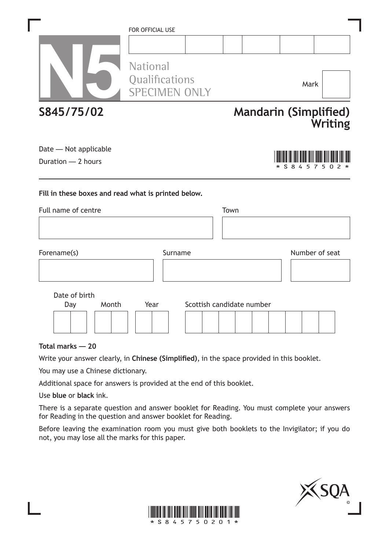|                                                     | FOR OFFICIAL USE                                          |                           |      |  |                              |                |
|-----------------------------------------------------|-----------------------------------------------------------|---------------------------|------|--|------------------------------|----------------|
|                                                     | <b>National</b><br>Qualifications<br><b>SPECIMEN ONLY</b> |                           |      |  | Mark                         |                |
| S845/75/02                                          |                                                           |                           |      |  | <b>Mandarin (Simplified)</b> | <b>Writing</b> |
| Date - Not applicable<br>Duration - 2 hours         |                                                           |                           |      |  | * S 8 4 5 7 5 0              |                |
| Fill in these boxes and read what is printed below. |                                                           |                           |      |  |                              |                |
| Full name of centre                                 |                                                           |                           | Town |  |                              |                |
| Forename(s)                                         | Surname                                                   |                           |      |  | Number of seat               |                |
| Date of birth<br>Month<br>Day                       | Year                                                      | Scottish candidate number |      |  |                              |                |
|                                                     |                                                           |                           |      |  |                              |                |

**Total marks — 20**

Write your answer clearly, in **Chinese (Simplified)**, in the space provided in this booklet.

You may use a Chinese dictionary.

Additional space for answers is provided at the end of this booklet.

Use **blue** or **black** ink.

There is a separate question and answer booklet for Reading. You must complete your answers for Reading in the question and answer booklet for Reading.

Before leaving the examination room you must give both booklets to the Invigilator; if you do not, you may lose all the marks for this paper.



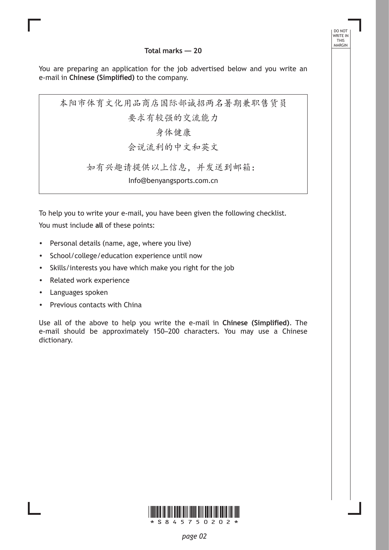**Total marks — 20**

DO NOT WRITE IN THIS MARGIN

You are preparing an application for the job advertised below and you write an e-mail in **Chinese (Simplified)** to the company.

本阳市体育文化用品商店国际部诚招两名暑期兼职售货员 要求有较强的交流能力 身体健康 会说流利的中文和英文 如有兴趣请提供以上信息,并发送到邮箱:

Info@benyangsports.com.cn

To help you to write your e-mail, you have been given the following checklist. You must include **all** of these points:

- Personal details (name, age, where you live)
- School/college/education experience until now
- Skills/interests you have which make you right for the job
- Related work experience
- Languages spoken
- Previous contacts with China

Use all of the above to help you write the e-mail in **Chinese (Simplified)**. The e-mail should be approximately 150–200 characters. You may use a Chinese dictionary.

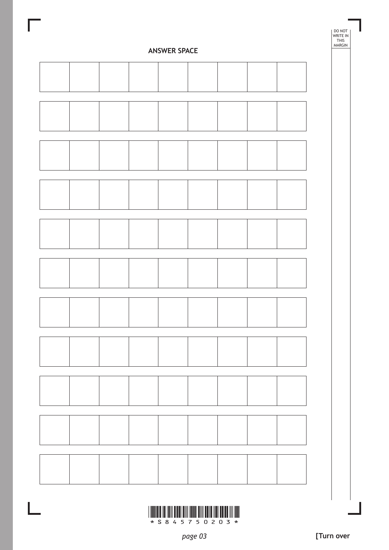

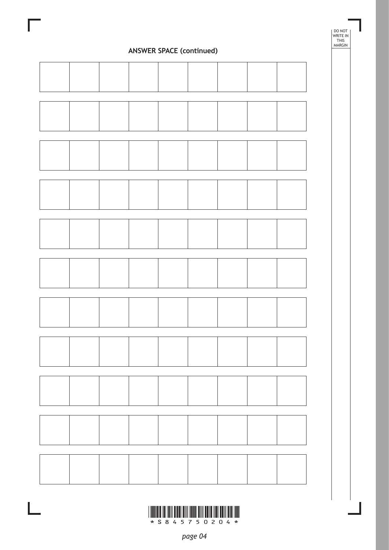

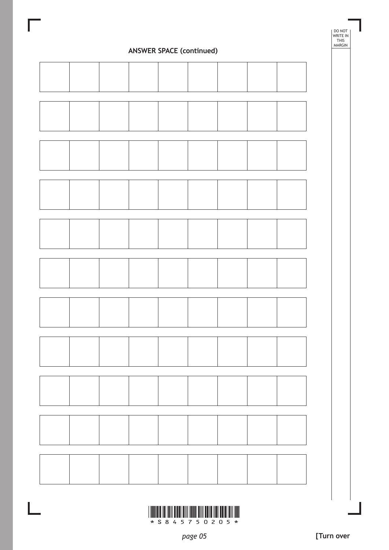

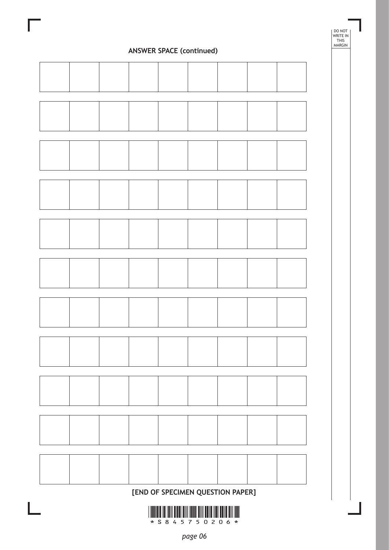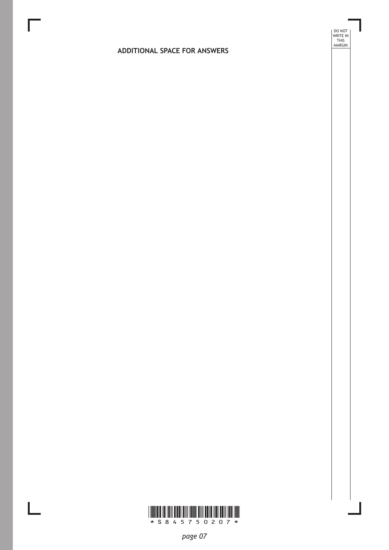#### **ADDITIONAL SPACE FOR ANSWERS**

DO NOT WRITE IN THIS MARGIN



I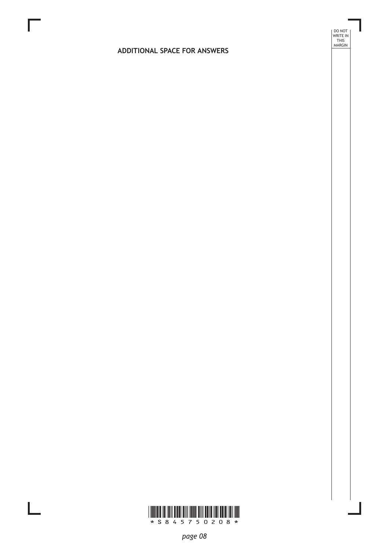#### **ADDITIONAL SPACE FOR ANSWERS**

DO NOT WRITE IN THIS MARGIN



 $\mathbb{R}^{\mathbb{Z}}$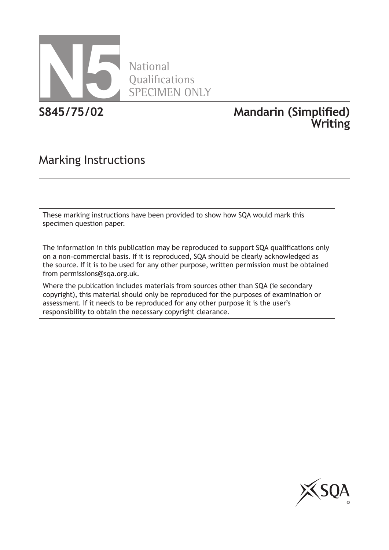

National **Oualifications** SPECIMEN ONLY

**S845/75/02 Mandarin (Simplified) Writing**

# Marking Instructions

These marking instructions have been provided to show how SQA would mark this specimen question paper.

The information in this publication may be reproduced to support SQA qualifications only on a non-commercial basis. If it is reproduced, SQA should be clearly acknowledged as the source. If it is to be used for any other purpose, written permission must be obtained from permissions@sqa.org.uk.

Where the publication includes materials from sources other than SQA (ie secondary copyright), this material should only be reproduced for the purposes of examination or assessment. If it needs to be reproduced for any other purpose it is the user's responsibility to obtain the necessary copyright clearance.

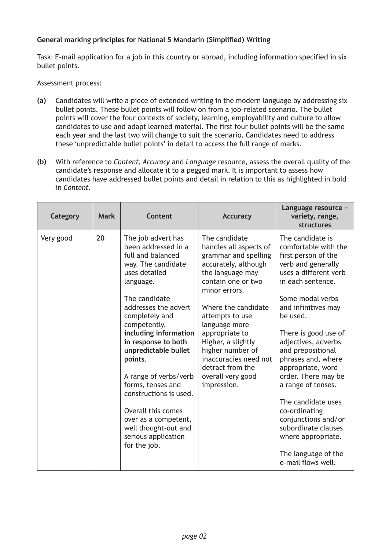#### **General marking principles for National 5 Mandarin (Simplified) Writing**

Task: E-mail application for a job in this country or abroad, including information specified in six bullet points.

#### Assessment process:

- **(a)** Candidates will write a piece of extended writing in the modern language by addressing six bullet points. These bullet points will follow on from a job-related scenario. The bullet points will cover the four contexts of society, learning, employability and culture to allow candidates to use and adapt learned material. The first four bullet points will be the same each year and the last two will change to suit the scenario. Candidates need to address these 'unpredictable bullet points' in detail to access the full range of marks.
- **(b)** With reference to *Content*, *Accuracy* and *Language* resource, assess the overall quality of the candidate's response and allocate it to a pegged mark. It is important to assess how candidates have addressed bullet points and detail in relation to this as highlighted in bold in *Content*.

| Category  | <b>Mark</b> | <b>Content</b>                                                                                                                                                                                                                                                                                                                                                                                                                                                        | <b>Accuracy</b>                                                                                                                                                                                                                                                                                                                                            | Language resource -<br>variety, range,<br><b>structures</b>                                                                                                                                                                                                                                                                                                                                                                                                                                                    |
|-----------|-------------|-----------------------------------------------------------------------------------------------------------------------------------------------------------------------------------------------------------------------------------------------------------------------------------------------------------------------------------------------------------------------------------------------------------------------------------------------------------------------|------------------------------------------------------------------------------------------------------------------------------------------------------------------------------------------------------------------------------------------------------------------------------------------------------------------------------------------------------------|----------------------------------------------------------------------------------------------------------------------------------------------------------------------------------------------------------------------------------------------------------------------------------------------------------------------------------------------------------------------------------------------------------------------------------------------------------------------------------------------------------------|
| Very good | 20          | The job advert has<br>been addressed in a<br>full and balanced<br>way. The candidate<br>uses detailed<br>language.<br>The candidate<br>addresses the advert<br>completely and<br>competently,<br>including information<br>in response to both<br>unpredictable bullet<br>points.<br>A range of verbs/verb<br>forms, tenses and<br>constructions is used.<br>Overall this comes<br>over as a competent,<br>well thought-out and<br>serious application<br>for the job. | The candidate<br>handles all aspects of<br>grammar and spelling<br>accurately, although<br>the language may<br>contain one or two<br>minor errors.<br>Where the candidate<br>attempts to use<br>language more<br>appropriate to<br>Higher, a slightly<br>higher number of<br>inaccuracies need not<br>detract from the<br>overall very good<br>impression. | The candidate is<br>comfortable with the<br>first person of the<br>verb and generally<br>uses a different verb<br>in each sentence.<br>Some modal verbs<br>and infinitives may<br>be used.<br>There is good use of<br>adjectives, adverbs<br>and prepositional<br>phrases and, where<br>appropriate, word<br>order. There may be<br>a range of tenses.<br>The candidate uses<br>co-ordinating<br>conjunctions and/or<br>subordinate clauses<br>where appropriate.<br>The language of the<br>e-mail flows well. |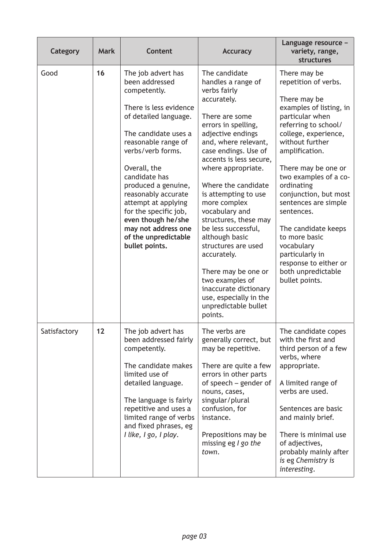| <b>Category</b> | <b>Mark</b> | <b>Content</b>                                                                                                                                                                                                                                                                                                                                                                                    | <b>Accuracy</b>                                                                                                                                                                                                                                                                                                                                                                                                                                                                                                                                            | Language resource -<br>variety, range,<br>structures                                                                                                                                                                                                                                                                                                                                                                                                           |
|-----------------|-------------|---------------------------------------------------------------------------------------------------------------------------------------------------------------------------------------------------------------------------------------------------------------------------------------------------------------------------------------------------------------------------------------------------|------------------------------------------------------------------------------------------------------------------------------------------------------------------------------------------------------------------------------------------------------------------------------------------------------------------------------------------------------------------------------------------------------------------------------------------------------------------------------------------------------------------------------------------------------------|----------------------------------------------------------------------------------------------------------------------------------------------------------------------------------------------------------------------------------------------------------------------------------------------------------------------------------------------------------------------------------------------------------------------------------------------------------------|
| Good            | 16          | The job advert has<br>been addressed<br>competently.<br>There is less evidence<br>of detailed language.<br>The candidate uses a<br>reasonable range of<br>verbs/verb forms.<br>Overall, the<br>candidate has<br>produced a genuine,<br>reasonably accurate<br>attempt at applying<br>for the specific job,<br>even though he/she<br>may not address one<br>of the unpredictable<br>bullet points. | The candidate<br>handles a range of<br>verbs fairly<br>accurately.<br>There are some<br>errors in spelling,<br>adjective endings<br>and, where relevant,<br>case endings. Use of<br>accents is less secure,<br>where appropriate.<br>Where the candidate<br>is attempting to use<br>more complex<br>vocabulary and<br>structures, these may<br>be less successful,<br>although basic<br>structures are used<br>accurately.<br>There may be one or<br>two examples of<br>inaccurate dictionary<br>use, especially in the<br>unpredictable bullet<br>points. | There may be<br>repetition of verbs.<br>There may be<br>examples of listing, in<br>particular when<br>referring to school/<br>college, experience,<br>without further<br>amplification.<br>There may be one or<br>two examples of a co-<br>ordinating<br>conjunction, but most<br>sentences are simple<br>sentences.<br>The candidate keeps<br>to more basic<br>vocabulary<br>particularly in<br>response to either or<br>both unpredictable<br>bullet points. |
| Satisfactory    | 12          | The job advert has<br>been addressed fairly<br>competently.<br>The candidate makes<br>limited use of<br>detailed language.<br>The language is fairly<br>repetitive and uses a<br>limited range of verbs<br>and fixed phrases, eg<br>I like, I go, I play.                                                                                                                                         | The verbs are<br>generally correct, but<br>may be repetitive.<br>There are quite a few<br>errors in other parts<br>of speech – gender of<br>nouns, cases,<br>singular/plural<br>confusion, for<br>instance.<br>Prepositions may be<br>missing eg $l$ go the<br>town.                                                                                                                                                                                                                                                                                       | The candidate copes<br>with the first and<br>third person of a few<br>verbs, where<br>appropriate.<br>A limited range of<br>verbs are used.<br>Sentences are basic<br>and mainly brief.<br>There is minimal use<br>of adjectives,<br>probably mainly after<br>is eg Chemistry is<br>interesting.                                                                                                                                                               |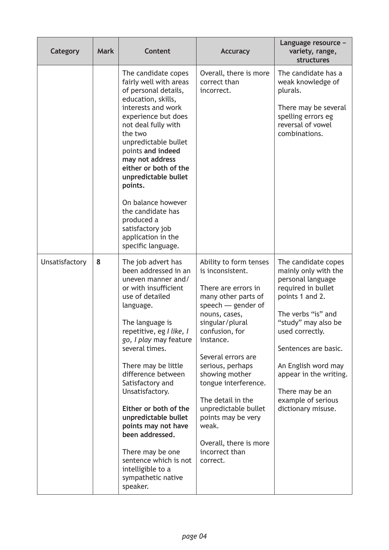| Category       | <b>Mark</b> | <b>Content</b>                                                                                                                                                                                                                                                                                                                                                                                                                                                                                         | <b>Accuracy</b>                                                                                                                                                                                                                                                                                                                                                                                             | Language resource -<br>variety, range,<br><b>structures</b>                                                                                                                                                                                                                                                       |
|----------------|-------------|--------------------------------------------------------------------------------------------------------------------------------------------------------------------------------------------------------------------------------------------------------------------------------------------------------------------------------------------------------------------------------------------------------------------------------------------------------------------------------------------------------|-------------------------------------------------------------------------------------------------------------------------------------------------------------------------------------------------------------------------------------------------------------------------------------------------------------------------------------------------------------------------------------------------------------|-------------------------------------------------------------------------------------------------------------------------------------------------------------------------------------------------------------------------------------------------------------------------------------------------------------------|
|                |             | The candidate copes<br>fairly well with areas<br>of personal details,<br>education, skills,<br>interests and work<br>experience but does<br>not deal fully with<br>the two<br>unpredictable bullet<br>points and indeed<br>may not address<br>either or both of the<br>unpredictable bullet<br>points.<br>On balance however<br>the candidate has<br>produced a<br>satisfactory job<br>application in the<br>specific language.                                                                        | Overall, there is more<br>correct than<br>incorrect.                                                                                                                                                                                                                                                                                                                                                        | The candidate has a<br>weak knowledge of<br>plurals.<br>There may be several<br>spelling errors eg<br>reversal of vowel<br>combinations.                                                                                                                                                                          |
| Unsatisfactory | 8           | The job advert has<br>been addressed in an<br>uneven manner and/<br>or with insufficient<br>use of detailed<br>language.<br>The language is<br>repetitive, eg I like, I<br>go, I play may feature<br>several times.<br>There may be little<br>difference between<br>Satisfactory and<br>Unsatisfactory.<br>Either or both of the<br>unpredictable bullet<br>points may not have<br>been addressed.<br>There may be one<br>sentence which is not<br>intelligible to a<br>sympathetic native<br>speaker. | Ability to form tenses<br>is inconsistent.<br>There are errors in<br>many other parts of<br>speech $-$ gender of<br>nouns, cases,<br>singular/plural<br>confusion, for<br>instance.<br>Several errors are<br>serious, perhaps<br>showing mother<br>tongue interference.<br>The detail in the<br>unpredictable bullet<br>points may be very<br>weak.<br>Overall, there is more<br>incorrect than<br>correct. | The candidate copes<br>mainly only with the<br>personal language<br>required in bullet<br>points 1 and 2.<br>The verbs "is" and<br>"study" may also be<br>used correctly.<br>Sentences are basic.<br>An English word may<br>appear in the writing.<br>There may be an<br>example of serious<br>dictionary misuse. |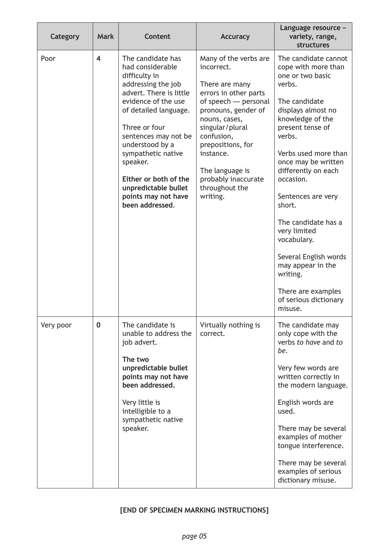| Category  | <b>Mark</b>             | <b>Content</b>                                                                                                                                                                                                                                                                                                                                   | <b>Accuracy</b>                                                                                                                                                                                                                                                                           | Language resource -<br>variety, range,<br>structures                                                                                                                                                                                                                                                                                                                                                                                                            |
|-----------|-------------------------|--------------------------------------------------------------------------------------------------------------------------------------------------------------------------------------------------------------------------------------------------------------------------------------------------------------------------------------------------|-------------------------------------------------------------------------------------------------------------------------------------------------------------------------------------------------------------------------------------------------------------------------------------------|-----------------------------------------------------------------------------------------------------------------------------------------------------------------------------------------------------------------------------------------------------------------------------------------------------------------------------------------------------------------------------------------------------------------------------------------------------------------|
| Poor      | $\overline{\mathbf{4}}$ | The candidate has<br>had considerable<br>difficulty in<br>addressing the job<br>advert. There is little<br>evidence of the use<br>of detailed language.<br>Three or four<br>sentences may not be<br>understood by a<br>sympathetic native<br>speaker.<br>Either or both of the<br>unpredictable bullet<br>points may not have<br>been addressed. | Many of the verbs are<br>incorrect.<br>There are many<br>errors in other parts<br>of speech - personal<br>pronouns, gender of<br>nouns, cases,<br>singular/plural<br>confusion,<br>prepositions, for<br>instance.<br>The language is<br>probably inaccurate<br>throughout the<br>writing. | The candidate cannot<br>cope with more than<br>one or two basic<br>verbs.<br>The candidate<br>displays almost no<br>knowledge of the<br>present tense of<br>verbs.<br>Verbs used more than<br>once may be written<br>differently on each<br>occasion.<br>Sentences are very<br>short.<br>The candidate has a<br>very limited<br>vocabulary.<br>Several English words<br>may appear in the<br>writing.<br>There are examples<br>of serious dictionary<br>misuse. |
| Very poor | $\mathbf 0$             | The candidate is<br>unable to address the<br>job advert.<br>The two<br>unpredictable bullet<br>points may not have<br>been addressed.<br>Very little is<br>intelligible to a<br>sympathetic native<br>speaker.                                                                                                                                   | Virtually nothing is<br>correct.                                                                                                                                                                                                                                                          | The candidate may<br>only cope with the<br>verbs to have and to<br>be.<br>Very few words are<br>written correctly in<br>the modern language.<br>English words are<br>used.<br>There may be several<br>examples of mother<br>tongue interference.<br>There may be several<br>examples of serious<br>dictionary misuse.                                                                                                                                           |

### **[END OF SPECIMEN MARKING INSTRUCTIONS]**